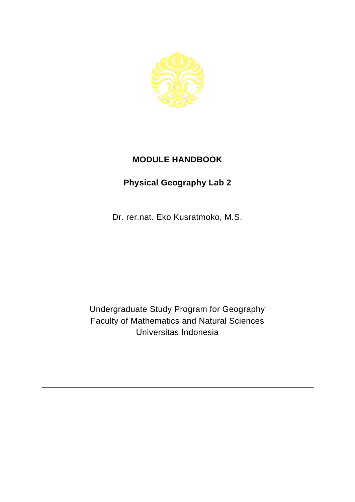

## **MODULE HANDBOOK**

## **Physical Geography Lab 2**

Dr. rer.nat. Eko Kusratmoko, M.S.

Undergraduate Study Program for Geography Faculty of Mathematics and Natural Sciences Universitas Indonesia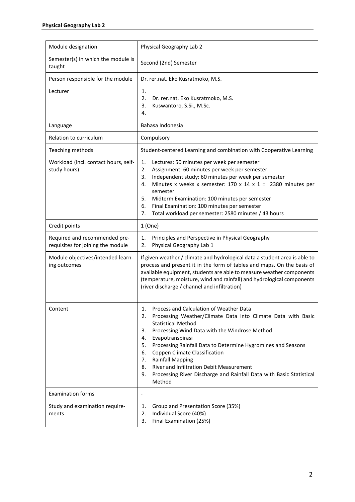| Module designation                                                 | Physical Geography Lab 2                                                                                                                                                                                                                                                                                                                                                                                                                                                                                                 |
|--------------------------------------------------------------------|--------------------------------------------------------------------------------------------------------------------------------------------------------------------------------------------------------------------------------------------------------------------------------------------------------------------------------------------------------------------------------------------------------------------------------------------------------------------------------------------------------------------------|
| Semester(s) in which the module is<br>taught                       | Second (2nd) Semester                                                                                                                                                                                                                                                                                                                                                                                                                                                                                                    |
| Person responsible for the module                                  | Dr. rer.nat. Eko Kusratmoko, M.S.                                                                                                                                                                                                                                                                                                                                                                                                                                                                                        |
| Lecturer                                                           | 1.<br>2.<br>Dr. rer.nat. Eko Kusratmoko, M.S.<br>3.<br>Kuswantoro, S.Si., M.Sc.<br>4.                                                                                                                                                                                                                                                                                                                                                                                                                                    |
| Language                                                           | Bahasa Indonesia                                                                                                                                                                                                                                                                                                                                                                                                                                                                                                         |
| Relation to curriculum                                             | Compulsory                                                                                                                                                                                                                                                                                                                                                                                                                                                                                                               |
| Teaching methods                                                   | Student-centered Learning and combination with Cooperative Learning                                                                                                                                                                                                                                                                                                                                                                                                                                                      |
| Workload (incl. contact hours, self-<br>study hours)               | 1.<br>Lectures: 50 minutes per week per semester<br>2.<br>Assignment: 60 minutes per week per semester<br>Independent study: 60 minutes per week per semester<br>3.<br>Minutes x weeks x semester: $170 \times 14 \times 1 = 2380$ minutes per<br>4.<br>semester<br>5.<br>Midterm Examination: 100 minutes per semester<br>6.<br>Final Examination: 100 minutes per semester<br>Total workload per semester: 2580 minutes / 43 hours<br>7.                                                                               |
| Credit points                                                      | 1(One)                                                                                                                                                                                                                                                                                                                                                                                                                                                                                                                   |
| Required and recommended pre-<br>requisites for joining the module | Principles and Perspective in Physical Geography<br>1.<br>Physical Geography Lab 1<br>2.                                                                                                                                                                                                                                                                                                                                                                                                                                 |
| Module objectives/intended learn-<br>ing outcomes                  | If given weather / climate and hydrological data a student area is able to<br>process and present it in the form of tables and maps. On the basis of<br>available equipment, students are able to measure weather components<br>(temperature, moisture, wind and rainfall) and hydrological components<br>(river discharge / channel and infiltration)                                                                                                                                                                   |
| Content                                                            | Process and Calculation of Weather Data<br>1.<br>Processing Weather/Climate Data into Climate Data with Basic<br>2.<br><b>Statistical Method</b><br>Processing Wind Data with the Windrose Method<br>3.<br>Evapotranspirasi<br>4.<br>Processing Rainfall Data to Determine Hygromines and Seasons<br>5.<br>Coppen Climate Classification<br>6.<br><b>Rainfall Mapping</b><br>7.<br>River and Infiltration Debit Measurement<br>8.<br>Processing River Discharge and Rainfall Data with Basic Statistical<br>9.<br>Method |
| <b>Examination forms</b>                                           | $\overline{\phantom{0}}$                                                                                                                                                                                                                                                                                                                                                                                                                                                                                                 |
| Study and examination require-<br>ments                            | Group and Presentation Score (35%)<br>1.<br>Individual Score (40%)<br>2.<br>3.<br>Final Examination (25%)                                                                                                                                                                                                                                                                                                                                                                                                                |